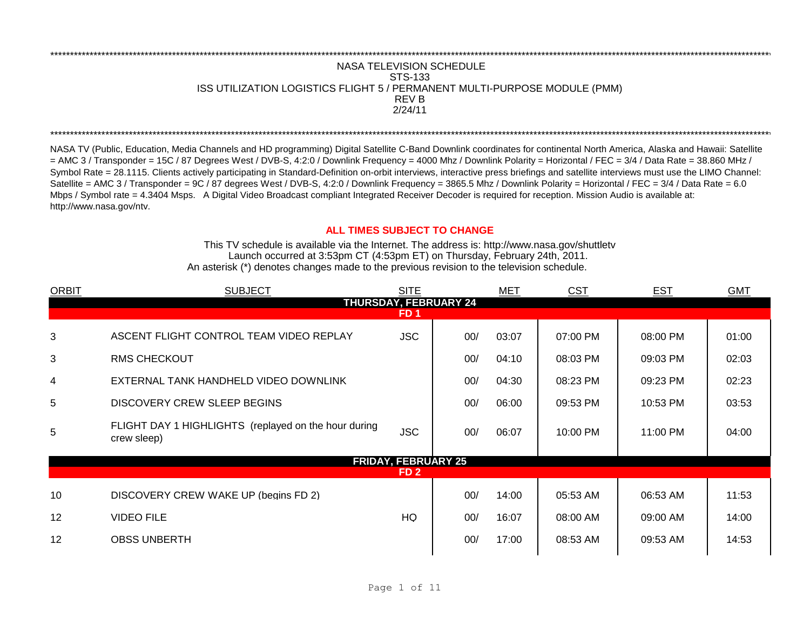## **NASA TELEVISION SCHEDULE** STS-133 ISS UTILIZATION LOGISTICS FLIGHT 5 / PERMANENT MULTI-PURPOSE MODULE (PMM) **REVB**  $2/24/11$

NASA TV (Public, Education, Media Channels and HD programming) Digital Satellite C-Band Downlink coordinates for continental North America, Alaska and Hawaii: Satellite = AMC 3 / Transponder = 15C / 87 Degrees West / DVB-S, 4:2:0 / Downlink Frequency = 4000 Mhz / Downlink Polarity = Horizontal / FEC = 3/4 / Data Rate = 38.860 MHz / Symbol Rate = 28.1115. Clients actively participating in Standard-Definition on-orbit interviews, interactive press briefings and satellite interviews must use the LIMO Channel: Satellite = AMC 3 / Transponder = 9C / 87 degrees West / DVB-S, 4:2:0 / Downlink Frequency = 3865.5 Mhz / Downlink Polarity = Horizontal / FEC = 3/4 / Data Rate = 6.0 Mbps / Symbol rate = 4.3404 Msps. A Digital Video Broadcast compliant Integrated Receiver Decoder is required for reception. Mission Audio is available at: http://www.nasa.gov/ntv.

## **ALL TIMES SUBJECT TO CHANGE**

This TV schedule is available via the Internet. The address is: http://www.nasa.gov/shuttletv Launch occurred at 3:53pm CT (4:53pm ET) on Thursday, February 24th, 2011. An asterisk (\*) denotes changes made to the previous revision to the television schedule.

| <b>ORBIT</b>                 | <b>SUBJECT</b>                                                      | <b>SITE</b>                |     | <b>MET</b> | <b>CST</b> | <b>EST</b> | <b>GMT</b> |  |
|------------------------------|---------------------------------------------------------------------|----------------------------|-----|------------|------------|------------|------------|--|
| <b>THURSDAY, FEBRUARY 24</b> |                                                                     |                            |     |            |            |            |            |  |
|                              |                                                                     | FD 1                       |     |            |            |            |            |  |
| 3                            | ASCENT FLIGHT CONTROL TEAM VIDEO REPLAY                             | <b>JSC</b>                 | 00/ | 03:07      | 07:00 PM   | 08:00 PM   | 01:00      |  |
| 3                            | <b>RMS CHECKOUT</b>                                                 |                            | 00/ | 04:10      | 08:03 PM   | 09:03 PM   | 02:03      |  |
| $\overline{4}$               | EXTERNAL TANK HANDHELD VIDEO DOWNLINK                               |                            | 00/ | 04:30      | 08:23 PM   | 09:23 PM   | 02:23      |  |
| 5                            | DISCOVERY CREW SLEEP BEGINS                                         |                            | 00/ | 06:00      | 09:53 PM   | 10:53 PM   | 03:53      |  |
| 5                            | FLIGHT DAY 1 HIGHLIGHTS (replayed on the hour during<br>crew sleep) | <b>JSC</b>                 | 00/ | 06:07      | 10:00 PM   | 11:00 PM   | 04:00      |  |
|                              |                                                                     | <b>FRIDAY, FEBRUARY 25</b> |     |            |            |            |            |  |
|                              |                                                                     | FD <sub>2</sub>            |     |            |            |            |            |  |
| 10                           | DISCOVERY CREW WAKE UP (begins FD 2)                                |                            | 00/ | 14:00      | 05:53 AM   | 06:53 AM   | 11:53      |  |
| 12                           | <b>VIDEO FILE</b>                                                   | HQ                         | 00/ | 16:07      | 08:00 AM   | 09:00 AM   | 14:00      |  |
| 12                           | <b>OBSS UNBERTH</b>                                                 |                            | 00/ | 17:00      | 08:53 AM   | 09:53 AM   | 14:53      |  |
|                              |                                                                     |                            |     |            |            |            |            |  |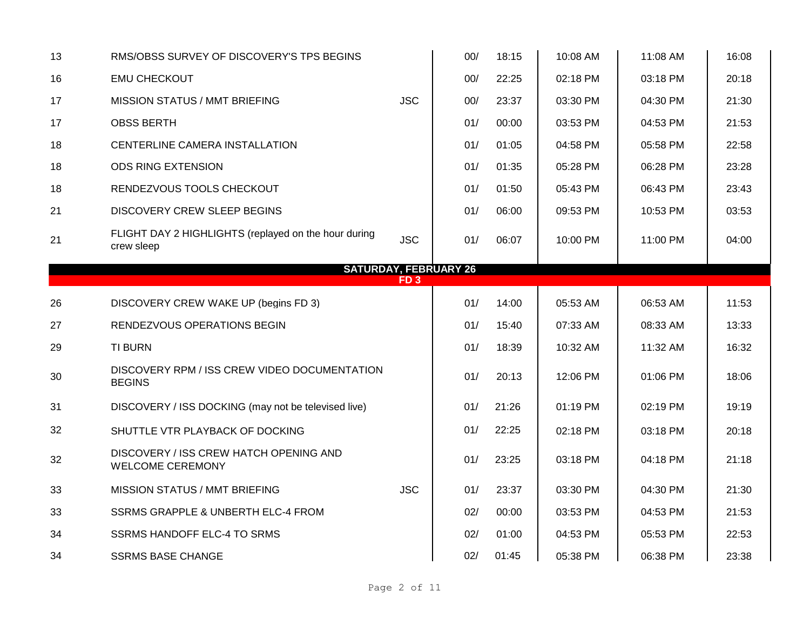| 13 | RMS/OBSS SURVEY OF DISCOVERY'S TPS BEGINS                          |                 | 00/ | 18:15 | 10:08 AM | 11:08 AM | 16:08 |
|----|--------------------------------------------------------------------|-----------------|-----|-------|----------|----------|-------|
| 16 | <b>EMU CHECKOUT</b>                                                |                 | 00/ | 22:25 | 02:18 PM | 03:18 PM | 20:18 |
| 17 | <b>MISSION STATUS / MMT BRIEFING</b>                               | <b>JSC</b>      | 00/ | 23:37 | 03:30 PM | 04:30 PM | 21:30 |
| 17 | <b>OBSS BERTH</b>                                                  |                 | 01/ | 00:00 | 03:53 PM | 04:53 PM | 21:53 |
| 18 | CENTERLINE CAMERA INSTALLATION                                     |                 | 01/ | 01:05 | 04:58 PM | 05:58 PM | 22:58 |
| 18 | <b>ODS RING EXTENSION</b>                                          |                 | 01/ | 01:35 | 05:28 PM | 06:28 PM | 23:28 |
| 18 | RENDEZVOUS TOOLS CHECKOUT                                          |                 | 01/ | 01:50 | 05:43 PM | 06:43 PM | 23:43 |
| 21 | DISCOVERY CREW SLEEP BEGINS                                        |                 | 01/ | 06:00 | 09:53 PM | 10:53 PM | 03:53 |
| 21 | FLIGHT DAY 2 HIGHLIGHTS (replayed on the hour during<br>crew sleep | <b>JSC</b>      | 01/ | 06:07 | 10:00 PM | 11:00 PM | 04:00 |
|    | <b>SATURDAY, FEBRUARY 26</b>                                       |                 |     |       |          |          |       |
|    |                                                                    | FD <sub>3</sub> |     |       |          |          |       |
| 26 | DISCOVERY CREW WAKE UP (begins FD 3)                               |                 | 01/ | 14:00 | 05:53 AM | 06:53 AM | 11:53 |
| 27 | RENDEZVOUS OPERATIONS BEGIN                                        |                 | 01/ | 15:40 | 07:33 AM | 08:33 AM | 13:33 |
| 29 | <b>TI BURN</b>                                                     |                 | 01/ | 18:39 | 10:32 AM | 11:32 AM | 16:32 |
| 30 | DISCOVERY RPM / ISS CREW VIDEO DOCUMENTATION<br><b>BEGINS</b>      |                 | 01/ | 20:13 | 12:06 PM | 01:06 PM | 18:06 |
| 31 | DISCOVERY / ISS DOCKING (may not be televised live)                |                 | 01/ | 21:26 | 01:19 PM | 02:19 PM | 19:19 |
| 32 | SHUTTLE VTR PLAYBACK OF DOCKING                                    |                 | 01/ | 22:25 | 02:18 PM | 03:18 PM | 20:18 |
| 32 | DISCOVERY / ISS CREW HATCH OPENING AND<br><b>WELCOME CEREMONY</b>  |                 | 01/ | 23:25 | 03:18 PM | 04:18 PM | 21:18 |
| 33 | <b>MISSION STATUS / MMT BRIEFING</b>                               | <b>JSC</b>      | 01/ | 23:37 | 03:30 PM | 04:30 PM | 21:30 |
| 33 | SSRMS GRAPPLE & UNBERTH ELC-4 FROM                                 |                 | 02/ | 00:00 | 03:53 PM | 04:53 PM | 21:53 |
| 34 | <b>SSRMS HANDOFF ELC-4 TO SRMS</b>                                 |                 | 02/ | 01:00 | 04:53 PM | 05:53 PM | 22:53 |
| 34 | <b>SSRMS BASE CHANGE</b>                                           |                 | 02/ | 01:45 | 05:38 PM | 06:38 PM | 23:38 |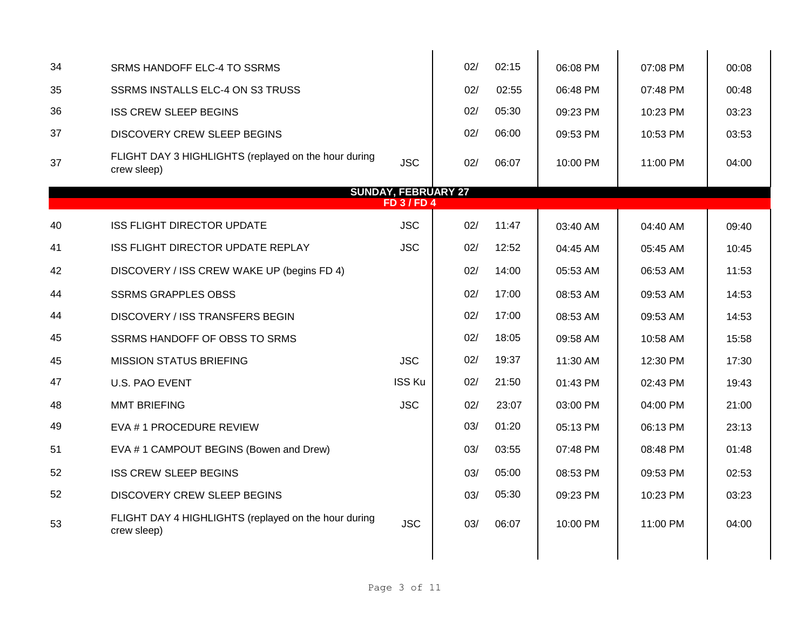| 34 | SRMS HANDOFF ELC-4 TO SSRMS                                         |                            | 02/ | 02:15 | 06:08 PM | 07:08 PM | 00:08 |
|----|---------------------------------------------------------------------|----------------------------|-----|-------|----------|----------|-------|
| 35 | SSRMS INSTALLS ELC-4 ON S3 TRUSS                                    |                            | 02/ | 02:55 | 06:48 PM | 07:48 PM | 00:48 |
| 36 | <b>ISS CREW SLEEP BEGINS</b>                                        |                            | 02/ | 05:30 | 09:23 PM | 10:23 PM | 03:23 |
| 37 | DISCOVERY CREW SLEEP BEGINS                                         |                            | 02/ | 06:00 | 09:53 PM | 10:53 PM | 03:53 |
| 37 | FLIGHT DAY 3 HIGHLIGHTS (replayed on the hour during<br>crew sleep) | <b>JSC</b>                 | 02/ | 06:07 | 10:00 PM | 11:00 PM | 04:00 |
|    |                                                                     | <b>SUNDAY, FEBRUARY 27</b> |     |       |          |          |       |
|    |                                                                     | <b>FD 3/FD 4</b>           |     |       |          |          |       |
| 40 | <b>ISS FLIGHT DIRECTOR UPDATE</b>                                   | <b>JSC</b>                 | 02/ | 11:47 | 03:40 AM | 04:40 AM | 09:40 |
| 41 | ISS FLIGHT DIRECTOR UPDATE REPLAY                                   | <b>JSC</b>                 | 02/ | 12:52 | 04:45 AM | 05:45 AM | 10:45 |
| 42 | DISCOVERY / ISS CREW WAKE UP (begins FD 4)                          |                            | 02/ | 14:00 | 05:53 AM | 06:53 AM | 11:53 |
| 44 | <b>SSRMS GRAPPLES OBSS</b>                                          |                            | 02/ | 17:00 | 08:53 AM | 09:53 AM | 14:53 |
| 44 | DISCOVERY / ISS TRANSFERS BEGIN                                     |                            | 02/ | 17:00 | 08:53 AM | 09:53 AM | 14:53 |
| 45 | SSRMS HANDOFF OF OBSS TO SRMS                                       |                            | 02/ | 18:05 | 09:58 AM | 10:58 AM | 15:58 |
| 45 | <b>MISSION STATUS BRIEFING</b>                                      | <b>JSC</b>                 | 02/ | 19:37 | 11:30 AM | 12:30 PM | 17:30 |
| 47 | <b>U.S. PAO EVENT</b>                                               | <b>ISS Ku</b>              | 02/ | 21:50 | 01:43 PM | 02:43 PM | 19:43 |
| 48 | <b>MMT BRIEFING</b>                                                 | <b>JSC</b>                 | 02/ | 23:07 | 03:00 PM | 04:00 PM | 21:00 |
| 49 | EVA #1 PROCEDURE REVIEW                                             |                            | 03/ | 01:20 | 05:13 PM | 06:13 PM | 23:13 |
| 51 | EVA #1 CAMPOUT BEGINS (Bowen and Drew)                              |                            | 03/ | 03:55 | 07:48 PM | 08:48 PM | 01:48 |
| 52 | <b>ISS CREW SLEEP BEGINS</b>                                        |                            | 03/ | 05:00 | 08:53 PM | 09:53 PM | 02:53 |
| 52 | DISCOVERY CREW SLEEP BEGINS                                         |                            | 03/ | 05:30 | 09:23 PM | 10:23 PM | 03:23 |
| 53 | FLIGHT DAY 4 HIGHLIGHTS (replayed on the hour during<br>crew sleep) | <b>JSC</b>                 | 03/ | 06:07 | 10:00 PM | 11:00 PM | 04:00 |
|    |                                                                     |                            |     |       |          |          |       |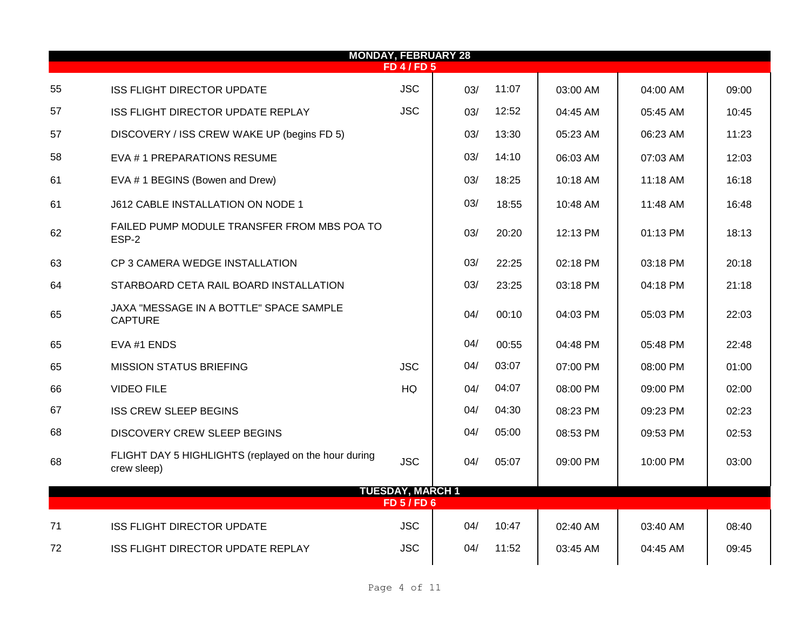|    |                                                                     | <b>MONDAY, FEBRUARY 28</b> |     |       |            |          |       |
|----|---------------------------------------------------------------------|----------------------------|-----|-------|------------|----------|-------|
|    |                                                                     | <b>FD 4 / FD 5</b>         |     |       |            |          |       |
| 55 | <b>ISS FLIGHT DIRECTOR UPDATE</b>                                   | <b>JSC</b>                 | 03/ | 11:07 | 03:00 AM   | 04:00 AM | 09:00 |
| 57 | <b>ISS FLIGHT DIRECTOR UPDATE REPLAY</b>                            | <b>JSC</b>                 | 03/ | 12:52 | 04:45 AM   | 05:45 AM | 10:45 |
| 57 | DISCOVERY / ISS CREW WAKE UP (begins FD 5)                          |                            | 03/ | 13:30 | 05:23 AM   | 06:23 AM | 11:23 |
| 58 | EVA #1 PREPARATIONS RESUME                                          |                            | 03/ | 14:10 | 06:03 AM   | 07:03 AM | 12:03 |
| 61 | EVA # 1 BEGINS (Bowen and Drew)                                     |                            | 03/ | 18:25 | 10:18 AM   | 11:18 AM | 16:18 |
| 61 | J612 CABLE INSTALLATION ON NODE 1                                   |                            | 03/ | 18:55 | 10:48 AM   | 11:48 AM | 16:48 |
| 62 | FAILED PUMP MODULE TRANSFER FROM MBS POA TO<br>ESP-2                |                            | 03/ | 20:20 | 12:13 PM   | 01:13 PM | 18:13 |
| 63 | CP 3 CAMERA WEDGE INSTALLATION                                      |                            | 03/ | 22:25 | 02:18 PM   | 03:18 PM | 20:18 |
| 64 | STARBOARD CETA RAIL BOARD INSTALLATION                              |                            | 03/ | 23:25 | 03:18 PM   | 04:18 PM | 21:18 |
| 65 | JAXA "MESSAGE IN A BOTTLE" SPACE SAMPLE<br><b>CAPTURE</b>           |                            | 04/ | 00:10 | 04:03 PM   | 05:03 PM | 22:03 |
| 65 | EVA #1 ENDS                                                         |                            | 04/ | 00:55 | 04:48 PM   | 05:48 PM | 22:48 |
| 65 | <b>MISSION STATUS BRIEFING</b>                                      | <b>JSC</b>                 | 04/ | 03:07 | 07:00 PM   | 08:00 PM | 01:00 |
| 66 | <b>VIDEO FILE</b>                                                   | HQ                         | 04/ | 04:07 | 08:00 PM   | 09:00 PM | 02:00 |
| 67 | <b>ISS CREW SLEEP BEGINS</b>                                        |                            | 04/ | 04:30 | 08:23 PM   | 09:23 PM | 02:23 |
| 68 | DISCOVERY CREW SLEEP BEGINS                                         |                            | 04/ | 05:00 | 08:53 PM   | 09:53 PM | 02:53 |
| 68 | FLIGHT DAY 5 HIGHLIGHTS (replayed on the hour during<br>crew sleep) | <b>JSC</b>                 | 04/ | 05:07 | 09:00 PM   | 10:00 PM | 03:00 |
|    |                                                                     | <b>TUESDAY, MARCH 1</b>    |     |       |            |          |       |
|    |                                                                     | <b>FD 5 / FD 6</b>         |     |       |            |          |       |
| 71 | <b>ISS FLIGHT DIRECTOR UPDATE</b>                                   | <b>JSC</b>                 | 04/ | 10:47 | $02:40$ AM | 03:40 AM | 08:40 |
| 72 | <b>ISS FLIGHT DIRECTOR UPDATE REPLAY</b>                            | <b>JSC</b>                 | 04/ | 11:52 | 03:45 AM   | 04:45 AM | 09:45 |
|    |                                                                     |                            |     |       |            |          |       |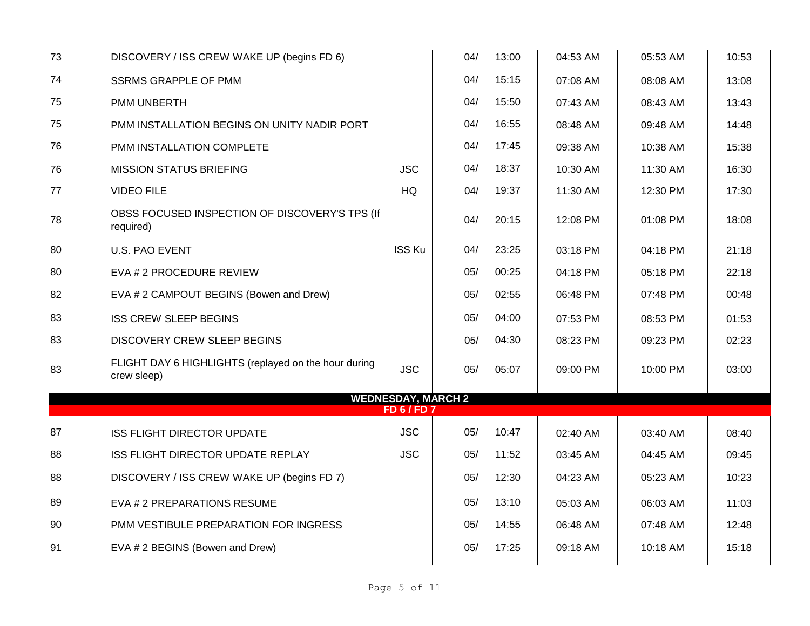| 73 | DISCOVERY / ISS CREW WAKE UP (begins FD 6)                          |                                             | 04/ | 13:00 | 04:53 AM | 05:53 AM | 10:53 |
|----|---------------------------------------------------------------------|---------------------------------------------|-----|-------|----------|----------|-------|
| 74 | <b>SSRMS GRAPPLE OF PMM</b>                                         |                                             | 04/ | 15:15 | 07:08 AM | 08:08 AM | 13:08 |
| 75 | PMM UNBERTH                                                         |                                             | 04/ | 15:50 | 07:43 AM | 08:43 AM | 13:43 |
| 75 | PMM INSTALLATION BEGINS ON UNITY NADIR PORT                         |                                             | 04/ | 16:55 | 08:48 AM | 09:48 AM | 14:48 |
| 76 | <b>PMM INSTALLATION COMPLETE</b>                                    |                                             | 04/ | 17:45 | 09:38 AM | 10:38 AM | 15:38 |
| 76 | <b>MISSION STATUS BRIEFING</b>                                      | <b>JSC</b>                                  | 04/ | 18:37 | 10:30 AM | 11:30 AM | 16:30 |
| 77 | <b>VIDEO FILE</b>                                                   | HQ                                          | 04/ | 19:37 | 11:30 AM | 12:30 PM | 17:30 |
| 78 | OBSS FOCUSED INSPECTION OF DISCOVERY'S TPS (If<br>required)         |                                             | 04/ | 20:15 | 12:08 PM | 01:08 PM | 18:08 |
| 80 | <b>U.S. PAO EVENT</b>                                               | <b>ISS Ku</b>                               | 04/ | 23:25 | 03:18 PM | 04:18 PM | 21:18 |
| 80 | EVA # 2 PROCEDURE REVIEW                                            |                                             | 05/ | 00:25 | 04:18 PM | 05:18 PM | 22:18 |
| 82 | EVA # 2 CAMPOUT BEGINS (Bowen and Drew)                             |                                             | 05/ | 02:55 | 06:48 PM | 07:48 PM | 00:48 |
| 83 | <b>ISS CREW SLEEP BEGINS</b>                                        |                                             | 05/ | 04:00 | 07:53 PM | 08:53 PM | 01:53 |
| 83 | <b>DISCOVERY CREW SLEEP BEGINS</b>                                  |                                             | 05/ | 04:30 | 08:23 PM | 09:23 PM | 02:23 |
| 83 | FLIGHT DAY 6 HIGHLIGHTS (replayed on the hour during<br>crew sleep) | <b>JSC</b>                                  | 05/ | 05:07 | 09:00 PM | 10:00 PM | 03:00 |
|    |                                                                     | <b>WEDNESDAY, MARCH 2</b><br><b>FD6/FD7</b> |     |       |          |          |       |
| 87 | <b>ISS FLIGHT DIRECTOR UPDATE</b>                                   | <b>JSC</b>                                  | 05/ | 10:47 | 02:40 AM | 03:40 AM | 08:40 |
| 88 | ISS FLIGHT DIRECTOR UPDATE REPLAY                                   | <b>JSC</b>                                  | 05/ | 11:52 | 03:45 AM | 04:45 AM | 09:45 |
| 88 | DISCOVERY / ISS CREW WAKE UP (begins FD 7)                          |                                             | 05/ | 12:30 | 04:23 AM | 05:23 AM | 10:23 |
| 89 | EVA # 2 PREPARATIONS RESUME                                         |                                             | 05/ | 13:10 | 05:03 AM | 06:03 AM | 11:03 |
| 90 | PMM VESTIBULE PREPARATION FOR INGRESS                               |                                             | 05/ | 14:55 | 06:48 AM | 07:48 AM | 12:48 |
| 91 | EVA # 2 BEGINS (Bowen and Drew)                                     |                                             | 05/ | 17:25 | 09:18 AM | 10:18 AM | 15:18 |
|    |                                                                     |                                             |     |       |          |          |       |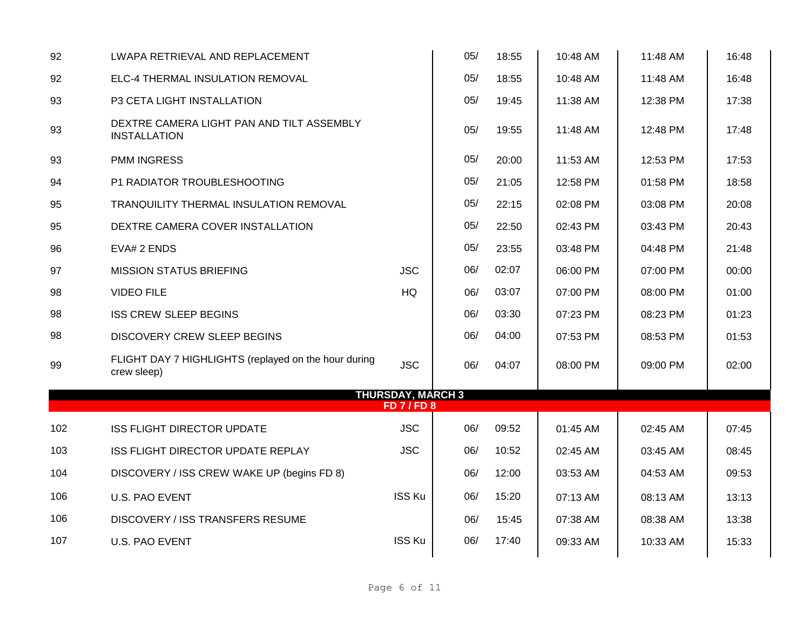| ELC-4 THERMAL INSULATION REMOVAL                                    |            | 05/                     | 18:55                               | 10:48 AM | 11:48 AM | 16:48 |  |
|---------------------------------------------------------------------|------------|-------------------------|-------------------------------------|----------|----------|-------|--|
| P3 CETA LIGHT INSTALLATION                                          |            | 05/                     | 19:45                               | 11:38 AM | 12:38 PM | 17:38 |  |
| DEXTRE CAMERA LIGHT PAN AND TILT ASSEMBLY<br><b>INSTALLATION</b>    |            | 05/                     | 19:55                               | 11:48 AM | 12:48 PM | 17:48 |  |
| <b>PMM INGRESS</b>                                                  |            | 05/                     | 20:00                               | 11:53 AM | 12:53 PM | 17:53 |  |
| P1 RADIATOR TROUBLESHOOTING                                         |            | 05/                     | 21:05                               | 12:58 PM | 01:58 PM | 18:58 |  |
| TRANQUILITY THERMAL INSULATION REMOVAL                              |            | 05/                     | 22:15                               | 02:08 PM | 03:08 PM | 20:08 |  |
| DEXTRE CAMERA COVER INSTALLATION                                    |            | 05/                     | 22:50                               | 02:43 PM | 03:43 PM | 20:43 |  |
| EVA# 2 ENDS                                                         |            | 05/                     | 23:55                               | 03:48 PM | 04:48 PM | 21:48 |  |
| <b>MISSION STATUS BRIEFING</b>                                      | <b>JSC</b> | 06/                     | 02:07                               | 06:00 PM | 07:00 PM | 00:00 |  |
| <b>VIDEO FILE</b>                                                   | HQ         | 06/                     | 03:07                               | 07:00 PM | 08:00 PM | 01:00 |  |
| <b>ISS CREW SLEEP BEGINS</b>                                        |            | 06/                     | 03:30                               | 07:23 PM | 08:23 PM | 01:23 |  |
| <b>DISCOVERY CREW SLEEP BEGINS</b>                                  |            | 06/                     | 04:00                               | 07:53 PM | 08:53 PM | 01:53 |  |
| FLIGHT DAY 7 HIGHLIGHTS (replayed on the hour during<br>crew sleep) | <b>JSC</b> | 06/                     | 04:07                               | 08:00 PM | 09:00 PM | 02:00 |  |
|                                                                     |            |                         |                                     |          |          |       |  |
| <b>ISS FLIGHT DIRECTOR UPDATE</b>                                   | <b>JSC</b> | 06/                     | 09:52                               | 01:45 AM | 02:45 AM | 07:45 |  |
| ISS FLIGHT DIRECTOR UPDATE REPLAY                                   | <b>JSC</b> | 06/                     | 10:52                               | 02:45 AM | 03:45 AM | 08:45 |  |
| DISCOVERY / ISS CREW WAKE UP (begins FD 8)                          |            | 06/                     | 12:00                               | 03:53 AM | 04:53 AM | 09:53 |  |
| <b>U.S. PAO EVENT</b>                                               |            | 06/                     | 15:20                               | 07:13 AM | 08:13 AM | 13:13 |  |
| DISCOVERY / ISS TRANSFERS RESUME                                    |            | 06/                     | 15:45                               | 07:38 AM | 08:38 AM | 13:38 |  |
| <b>U.S. PAO EVENT</b>                                               |            | 06/                     | 17:40                               | 09:33 AM | 10:33 AM | 15:33 |  |
|                                                                     |            | <b>ISS Ku</b><br>ISS Ku | <b>THURSDAY, MARCH 3</b><br>FD7/FD8 |          |          |       |  |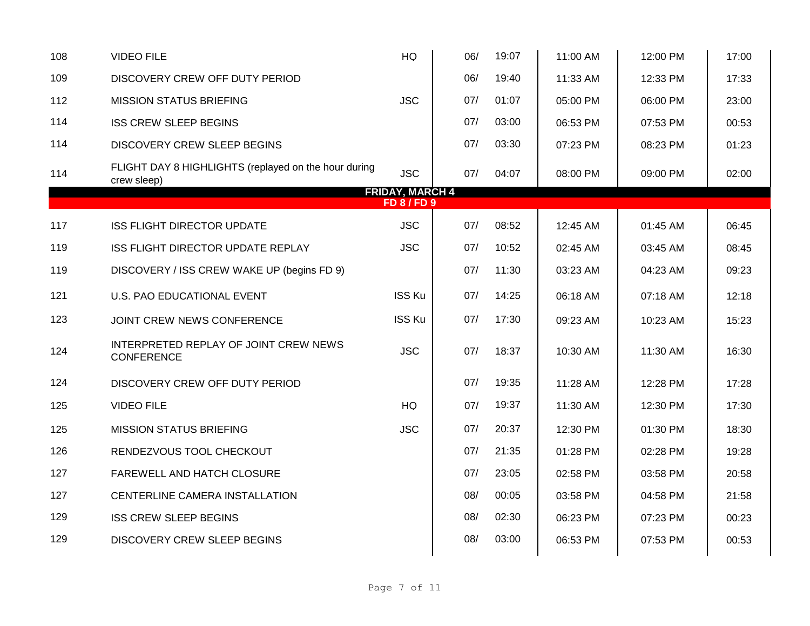| 108 | <b>VIDEO FILE</b>                                                   | HQ                                           | 06/ | 19:07 | 11:00 AM | 12:00 PM | 17:00 |
|-----|---------------------------------------------------------------------|----------------------------------------------|-----|-------|----------|----------|-------|
| 109 | DISCOVERY CREW OFF DUTY PERIOD                                      |                                              | 06/ | 19:40 | 11:33 AM | 12:33 PM | 17:33 |
| 112 | <b>MISSION STATUS BRIEFING</b>                                      | <b>JSC</b>                                   | 07/ | 01:07 | 05:00 PM | 06:00 PM | 23:00 |
| 114 | <b>ISS CREW SLEEP BEGINS</b>                                        |                                              | 07/ | 03:00 | 06:53 PM | 07:53 PM | 00:53 |
| 114 | <b>DISCOVERY CREW SLEEP BEGINS</b>                                  |                                              | 07/ | 03:30 | 07:23 PM | 08:23 PM | 01:23 |
| 114 | FLIGHT DAY 8 HIGHLIGHTS (replayed on the hour during<br>crew sleep) | <b>JSC</b>                                   | 07/ | 04:07 | 08:00 PM | 09:00 PM | 02:00 |
|     |                                                                     | <b>FRIDAY, MARCH 4</b><br><b>FD 8 / FD 9</b> |     |       |          |          |       |
| 117 | ISS FLIGHT DIRECTOR UPDATE                                          | <b>JSC</b>                                   | 07/ | 08:52 | 12:45 AM | 01:45 AM | 06:45 |
| 119 | ISS FLIGHT DIRECTOR UPDATE REPLAY                                   | <b>JSC</b>                                   | 07/ | 10:52 | 02:45 AM | 03:45 AM | 08:45 |
| 119 | DISCOVERY / ISS CREW WAKE UP (begins FD 9)                          |                                              | 07/ | 11:30 | 03:23 AM | 04:23 AM | 09:23 |
| 121 | U.S. PAO EDUCATIONAL EVENT                                          | <b>ISS Ku</b>                                | 07/ | 14:25 | 06:18 AM | 07:18 AM | 12:18 |
| 123 | JOINT CREW NEWS CONFERENCE                                          | <b>ISS Ku</b>                                | 07/ | 17:30 | 09:23 AM | 10:23 AM | 15:23 |
| 124 | INTERPRETED REPLAY OF JOINT CREW NEWS<br><b>CONFERENCE</b>          | <b>JSC</b>                                   | 07/ | 18:37 | 10:30 AM | 11:30 AM | 16:30 |
| 124 | DISCOVERY CREW OFF DUTY PERIOD                                      |                                              | 07/ | 19:35 | 11:28 AM | 12:28 PM | 17:28 |
| 125 | <b>VIDEO FILE</b>                                                   | HQ                                           | 07/ | 19:37 | 11:30 AM | 12:30 PM | 17:30 |
| 125 | <b>MISSION STATUS BRIEFING</b>                                      | <b>JSC</b>                                   | 07/ | 20:37 | 12:30 PM | 01:30 PM | 18:30 |
| 126 | RENDEZVOUS TOOL CHECKOUT                                            |                                              | 07/ | 21:35 | 01:28 PM | 02:28 PM | 19:28 |
| 127 | FAREWELL AND HATCH CLOSURE                                          |                                              | 07/ | 23:05 | 02:58 PM | 03:58 PM | 20:58 |
| 127 | CENTERLINE CAMERA INSTALLATION                                      |                                              | 08/ | 00:05 | 03:58 PM | 04:58 PM | 21:58 |
| 129 | <b>ISS CREW SLEEP BEGINS</b>                                        |                                              | 08/ | 02:30 | 06:23 PM | 07:23 PM | 00:23 |
| 129 | <b>DISCOVERY CREW SLEEP BEGINS</b>                                  |                                              | 08/ | 03:00 | 06:53 PM | 07:53 PM | 00:53 |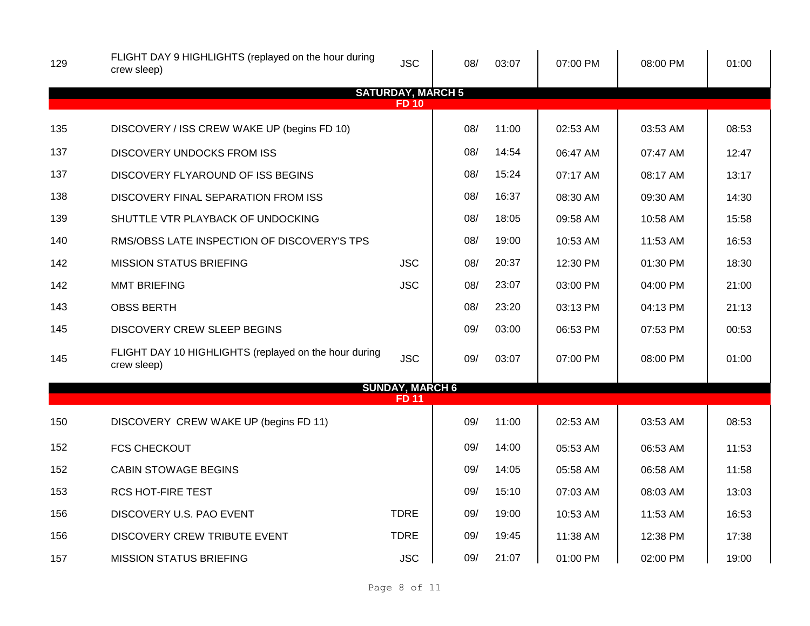| 129 | FLIGHT DAY 9 HIGHLIGHTS (replayed on the hour during<br>crew sleep)  | <b>JSC</b>                             | 08/ | 03:07 | 07:00 PM | 08:00 PM | 01:00 |
|-----|----------------------------------------------------------------------|----------------------------------------|-----|-------|----------|----------|-------|
|     |                                                                      | <b>SATURDAY, MARCH 5</b>               |     |       |          |          |       |
|     |                                                                      | <b>FD10</b>                            |     |       |          |          |       |
| 135 | DISCOVERY / ISS CREW WAKE UP (begins FD 10)                          |                                        | 08/ | 11:00 | 02:53 AM | 03:53 AM | 08:53 |
| 137 | <b>DISCOVERY UNDOCKS FROM ISS</b>                                    |                                        | 08/ | 14:54 | 06:47 AM | 07:47 AM | 12:47 |
| 137 | DISCOVERY FLYAROUND OF ISS BEGINS                                    |                                        | 08/ | 15:24 | 07:17 AM | 08:17 AM | 13:17 |
| 138 | DISCOVERY FINAL SEPARATION FROM ISS                                  |                                        | 08/ | 16:37 | 08:30 AM | 09:30 AM | 14:30 |
| 139 | SHUTTLE VTR PLAYBACK OF UNDOCKING                                    |                                        | 08/ | 18:05 | 09:58 AM | 10:58 AM | 15:58 |
| 140 | RMS/OBSS LATE INSPECTION OF DISCOVERY'S TPS                          |                                        | 08/ | 19:00 | 10:53 AM | 11:53 AM | 16:53 |
| 142 | <b>MISSION STATUS BRIEFING</b>                                       | <b>JSC</b>                             | 08/ | 20:37 | 12:30 PM | 01:30 PM | 18:30 |
| 142 | <b>MMT BRIEFING</b>                                                  | <b>JSC</b>                             | 08/ | 23:07 | 03:00 PM | 04:00 PM | 21:00 |
| 143 | <b>OBSS BERTH</b>                                                    |                                        | 08/ | 23:20 | 03:13 PM | 04:13 PM | 21:13 |
| 145 | DISCOVERY CREW SLEEP BEGINS                                          |                                        | 09/ | 03:00 | 06:53 PM | 07:53 PM | 00:53 |
| 145 | FLIGHT DAY 10 HIGHLIGHTS (replayed on the hour during<br>crew sleep) | <b>JSC</b>                             | 09/ | 03:07 | 07:00 PM | 08:00 PM | 01:00 |
|     |                                                                      | <b>SUNDAY, MARCH 6</b><br><b>FD 11</b> |     |       |          |          |       |
| 150 | DISCOVERY CREW WAKE UP (begins FD 11)                                |                                        | 09/ | 11:00 | 02:53 AM | 03:53 AM | 08:53 |
| 152 | <b>FCS CHECKOUT</b>                                                  |                                        | 09/ | 14:00 | 05:53 AM | 06:53 AM | 11:53 |
| 152 | <b>CABIN STOWAGE BEGINS</b>                                          |                                        | 09/ | 14:05 | 05:58 AM | 06:58 AM | 11:58 |
| 153 | <b>RCS HOT-FIRE TEST</b>                                             |                                        | 09/ | 15:10 | 07:03 AM | 08:03 AM | 13:03 |
| 156 | DISCOVERY U.S. PAO EVENT                                             | <b>TDRE</b>                            | 09/ | 19:00 | 10:53 AM | 11:53 AM | 16:53 |
| 156 | DISCOVERY CREW TRIBUTE EVENT                                         | <b>TDRE</b>                            | 09/ | 19:45 | 11:38 AM | 12:38 PM | 17:38 |
| 157 | <b>MISSION STATUS BRIEFING</b>                                       | <b>JSC</b>                             | 09/ | 21:07 | 01:00 PM | 02:00 PM | 19:00 |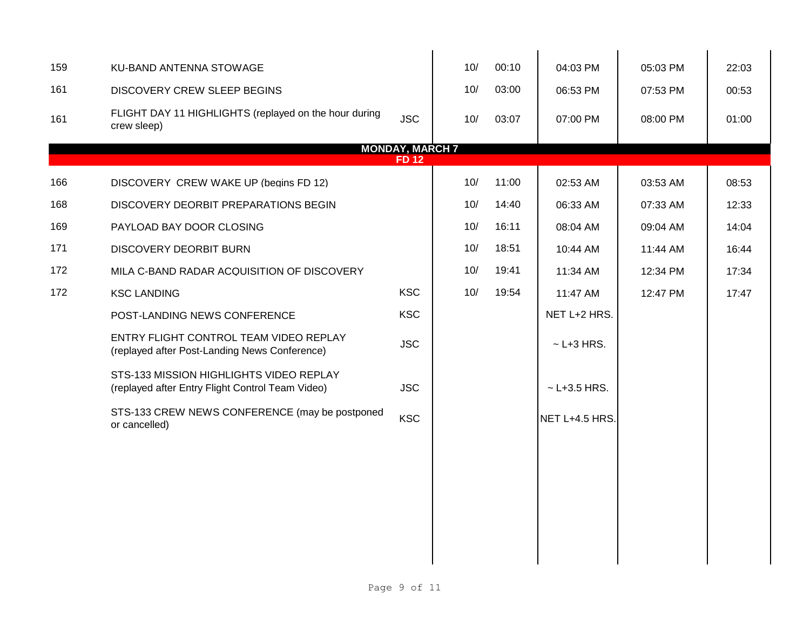| 159 | KU-BAND ANTENNA STOWAGE                                                                     |                        | 10/ | 00:10 | 04:03 PM           | 05:03 PM | 22:03 |
|-----|---------------------------------------------------------------------------------------------|------------------------|-----|-------|--------------------|----------|-------|
| 161 | <b>DISCOVERY CREW SLEEP BEGINS</b>                                                          |                        | 10/ | 03:00 | 06:53 PM           | 07:53 PM | 00:53 |
| 161 | FLIGHT DAY 11 HIGHLIGHTS (replayed on the hour during<br>crew sleep)                        | <b>JSC</b>             | 10/ | 03:07 | 07:00 PM           | 08:00 PM | 01:00 |
|     |                                                                                             | <b>MONDAY, MARCH 7</b> |     |       |                    |          |       |
|     |                                                                                             | <b>FD12</b>            |     |       |                    |          |       |
| 166 | DISCOVERY CREW WAKE UP (begins FD 12)                                                       |                        | 10/ | 11:00 | 02:53 AM           | 03:53 AM | 08:53 |
| 168 | DISCOVERY DEORBIT PREPARATIONS BEGIN                                                        |                        | 10/ | 14:40 | 06:33 AM           | 07:33 AM | 12:33 |
| 169 | PAYLOAD BAY DOOR CLOSING                                                                    |                        | 10/ | 16:11 | 08:04 AM           | 09:04 AM | 14:04 |
| 171 | <b>DISCOVERY DEORBIT BURN</b>                                                               |                        | 10/ | 18:51 | 10:44 AM           | 11:44 AM | 16:44 |
| 172 | MILA C-BAND RADAR ACQUISITION OF DISCOVERY                                                  |                        | 10/ | 19:41 | 11:34 AM           | 12:34 PM | 17:34 |
| 172 | <b>KSC LANDING</b>                                                                          | <b>KSC</b>             | 10/ | 19:54 | 11:47 AM           | 12:47 PM | 17:47 |
|     | POST-LANDING NEWS CONFERENCE                                                                | <b>KSC</b>             |     |       | NET L+2 HRS.       |          |       |
|     | ENTRY FLIGHT CONTROL TEAM VIDEO REPLAY<br>(replayed after Post-Landing News Conference)     | <b>JSC</b>             |     |       | $\sim$ L+3 HRS.    |          |       |
|     | STS-133 MISSION HIGHLIGHTS VIDEO REPLAY<br>(replayed after Entry Flight Control Team Video) | <b>JSC</b>             |     |       | $~\sim$ L+3.5 HRS. |          |       |
|     | STS-133 CREW NEWS CONFERENCE (may be postponed<br>or cancelled)                             | <b>KSC</b>             |     |       | NET L+4.5 HRS.     |          |       |
|     |                                                                                             |                        |     |       |                    |          |       |
|     |                                                                                             |                        |     |       |                    |          |       |
|     |                                                                                             |                        |     |       |                    |          |       |
|     |                                                                                             |                        |     |       |                    |          |       |
|     |                                                                                             |                        |     |       |                    |          |       |
|     |                                                                                             |                        |     |       |                    |          |       |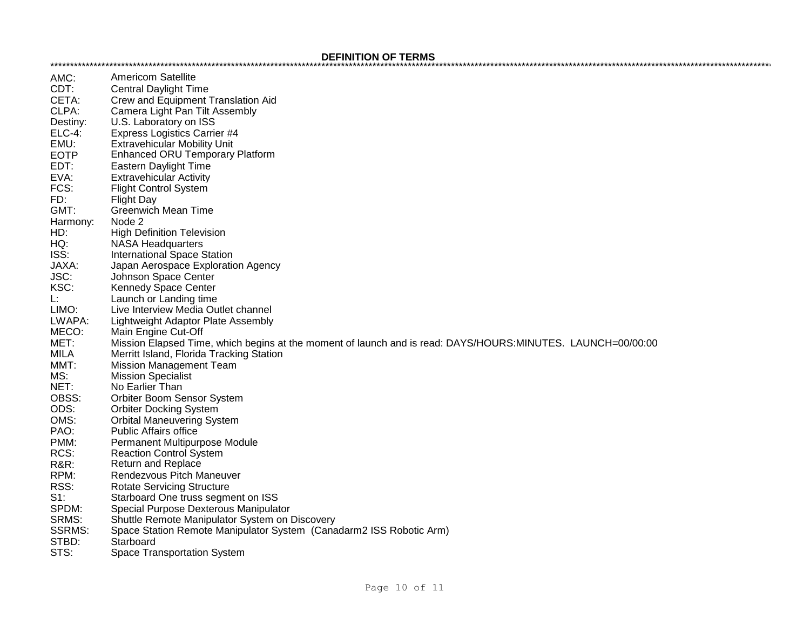## 

| AMC:            | <b>Americom Satellite</b>                                                                                   |
|-----------------|-------------------------------------------------------------------------------------------------------------|
| CDT:            | <b>Central Daylight Time</b>                                                                                |
| CETA:           | Crew and Equipment Translation Aid                                                                          |
| CLPA:           | Camera Light Pan Tilt Assembly                                                                              |
|                 |                                                                                                             |
| Destiny:        | U.S. Laboratory on ISS                                                                                      |
| <b>ELC-4:</b>   | <b>Express Logistics Carrier #4</b>                                                                         |
| EMU:            | <b>Extravehicular Mobility Unit</b>                                                                         |
| <b>EOTP</b>     | <b>Enhanced ORU Temporary Platform</b>                                                                      |
| EDT:            | Eastern Daylight Time                                                                                       |
| EVA:            | <b>Extravehicular Activity</b>                                                                              |
| FCS:            | <b>Flight Control System</b>                                                                                |
| FD:             | <b>Flight Day</b>                                                                                           |
| GMT:            | <b>Greenwich Mean Time</b>                                                                                  |
| Harmony:        | Node 2                                                                                                      |
| HD:             | <b>High Definition Television</b>                                                                           |
| HQ:             | <b>NASA Headquarters</b>                                                                                    |
| ISS:            | <b>International Space Station</b>                                                                          |
| JAXA:           | Japan Aerospace Exploration Agency                                                                          |
| JSC:            | Johnson Space Center                                                                                        |
| KSC:            | Kennedy Space Center                                                                                        |
| L:              | Launch or Landing time                                                                                      |
| LIMO:           | Live Interview Media Outlet channel                                                                         |
| LWAPA:          | Lightweight Adaptor Plate Assembly                                                                          |
| MECO:           | Main Engine Cut-Off                                                                                         |
| MET:            | Mission Elapsed Time, which begins at the moment of launch and is read: DAYS/HOURS:MINUTES. LAUNCH=00/00:00 |
| <b>MILA</b>     | Merritt Island, Florida Tracking Station                                                                    |
| MMT:            | <b>Mission Management Team</b>                                                                              |
| MS:             | <b>Mission Specialist</b>                                                                                   |
| NET:            | No Earlier Than                                                                                             |
| OBSS:           | Orbiter Boom Sensor System                                                                                  |
| ODS:            | <b>Orbiter Docking System</b>                                                                               |
| OMS:            | <b>Orbital Maneuvering System</b>                                                                           |
| PAO:            | <b>Public Affairs office</b>                                                                                |
| PMM:            | Permanent Multipurpose Module                                                                               |
| RCS:            | <b>Reaction Control System</b>                                                                              |
| <b>R&amp;R:</b> | <b>Return and Replace</b>                                                                                   |
| RPM:            | Rendezvous Pitch Maneuver                                                                                   |
| RSS:            | <b>Rotate Servicing Structure</b>                                                                           |
| $S1$ :          | Starboard One truss segment on ISS                                                                          |
| SPDM:           | Special Purpose Dexterous Manipulator                                                                       |
| SRMS:           | Shuttle Remote Manipulator System on Discovery                                                              |
| <b>SSRMS:</b>   | Space Station Remote Manipulator System (Canadarm2 ISS Robotic Arm)                                         |
| STBD:           | Starboard                                                                                                   |
| STS:            | <b>Space Transportation System</b>                                                                          |